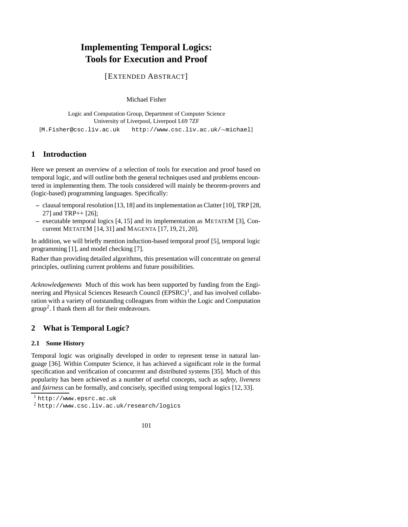# **Implementing Temporal Logics: Tools for Execution and Proof**

[EXTENDED ABSTRACT]

Michael Fisher

Logic and Computation Group, Department of Computer Science University of Liverpool, Liverpool L69 7ZF

[M.Fisher@csc.liv.ac.uk http://www.csc.liv.ac.uk/∼michael]

## **1 Introduction**

Here we present an overview of a selection of tools for execution and proof based on temporal logic, and will outline both the general techniques used and problems encountered in implementing them. The tools considered will mainly be theorem-provers and (logic-based) programming languages. Specifically:

- **–** clausal temporal resolution [13, 18] and its implementation as Clatter [10], TRP [28, 27] and TRP++ [26];
- **–** executable temporal logics [4, 15] and its implementation as METATEM [3], Concurrent METATEM [14, 31] and MAGENTA [17, 19, 21, 20].

In addition, we will briefly mention induction-based temporal proof [5], temporal logic programming [1], and model checking [7].

Rather than providing detailed algorithms, this presentation will concentrate on general principles, outlining current problems and future possibilities.

*Acknowledgements* Much of this work has been supported by funding from the Engineering and Physical Sciences Research Council  $(EPSRC)^1$ , and has involved collaboration with a variety of outstanding colleagues from within the Logic and Computation  $group<sup>2</sup>$ . I thank them all for their endeavours.

## **2 What is Temporal Logic?**

### **2.1 Some History**

Temporal logic was originally developed in order to represent tense in natural language [36]. Within Computer Science, it has achieved a significant role in the formal specification and verification of concurrent and distributed systems [35]. Much of this popularity has been achieved as a number of useful concepts, such as *safety*, *liveness* and *fairness* can be formally, and concisely, specified using temporal logics [12, 33].

<sup>1</sup> http://www.epsrc.ac.uk

<sup>2</sup> http://www.csc.liv.ac.uk/research/logics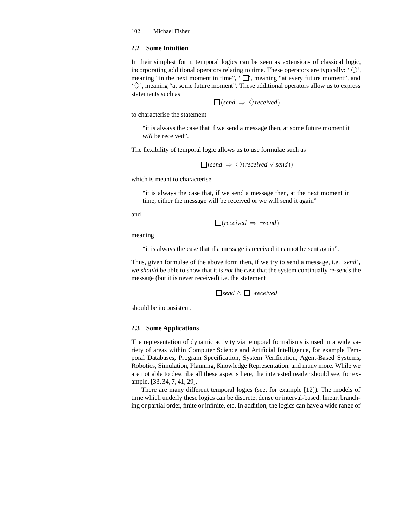### **2.2 Some Intuition**

In their simplest form, temporal logics can be seen as extensions of classical logic, incorporating additional operators relating to time. These operators are typically: ' $\bigcirc$ ', meaning "in the next moment in time",  $\cdot \Box$ ", meaning "at every future moment", and  $\langle \diamondsuit \rangle$ , meaning "at some future moment". These additional operators allow us to express statements such as

$$
\Box(send \Rightarrow \Diamond received)
$$

to characterise the statement

"it is always the case that if we send a message then, at some future moment it *will* be received".

The flexibility of temporal logic allows us to use formulae such as

$$
\Box(send \Rightarrow \bigcirc(received \vee send))
$$

which is meant to characterise

"it is always the case that, if we send a message then, at the next moment in time, either the message will be received or we will send it again"

and

$$
\Box(received \Rightarrow \neg send)
$$

meaning

"it is always the case that if a message is received it cannot be sent again".

Thus, given formulae of the above form then, if we try to send a message, i.e. '*send*', we *should* be able to show that it is *not* the case that the system continually re-sends the message (but it is never received) i.e. the statement

```
send ∧ ¬received
```
should be inconsistent.

#### **2.3 Some Applications**

The representation of dynamic activity via temporal formalisms is used in a wide variety of areas within Computer Science and Artificial Intelligence, for example Temporal Databases, Program Specification, System Verification, Agent-Based Systems, Robotics, Simulation, Planning, Knowledge Representation, and many more. While we are not able to describe all these aspects here, the interested reader should see, for example, [33, 34, 7, 41, 29].

There are many different temporal logics (see, for example [12]). The models of time which underly these logics can be discrete, dense or interval-based, linear, branching or partial order, finite or infinite, etc. In addition, the logics can have a wide range of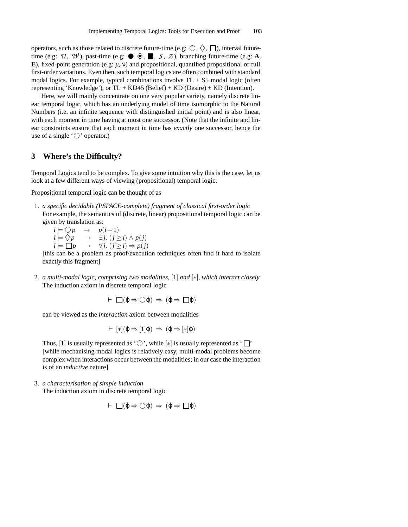operators, such as those related to discrete future-time (e.g:  $\bigcirc$ ,  $\bigcirc$ ,  $\bigcap$ ), interval futuretime (e.g: *U*, *W*), past-time (e.g:  $\bullet \bullet \bullet \blacksquare$ , *S*, *Z*), branching future-time (e.g: **A**, **E**), fixed-point generation (e.g: *µ*, ν) and propositional, quantified propositional or full first-order variations. Even then, such temporal logics are often combined with standard modal logics. For example, typical combinations involve  $TL + S5$  modal logic (often representing 'Knowledge'), or  $TL + KD45$  (Belief)  $+ KD$  (Desire)  $+ KD$  (Intention).

Here, we will mainly concentrate on one very popular variety, namely discrete linear temporal logic, which has an underlying model of time isomorphic to the Natural Numbers (i.e. an infinite sequence with distinguished initial point) and is also linear, with each moment in time having at most one successor. (Note that the infinite and linear constraints ensure that each moment in time has *exactly* one successor, hence the use of a single  $\circlearrowright$  operator.)

## **3 Where's the Difficulty?**

Temporal Logics tend to be complex. To give some intuition why this is the case, let us look at a few different ways of viewing (propositional) temporal logic.

Propositional temporal logic can be thought of as

- 1. *a specific decidable (PSPACE-complete) fragment of classical first-order logic* For example, the semantics of (discrete, linear) propositional temporal logic can be given by translation as:
	- $i \models \bigcirc p \rightarrow p(i+1)$ *i*  $\models$   $\diamondsuit p$  → ∃*j*. (*j* ≥ *i*) ∧ *p*(*j*)  $i \models \Box p \rightarrow \forall j. \ (\check{j} \geq \check{i}) \Rightarrow p(\check{j})$

[this can be a problem as proof/execution techniques often find it hard to isolate exactly this fragment]

2. *a multi-modal logic, comprising two modalities,* [1] *and* [∗]*, which interact closely* The induction axiom in discrete temporal logic

$$
\vdash \Box(\phi \Rightarrow \bigcirc \phi) \Rightarrow (\phi \Rightarrow \Box \phi)
$$

can be viewed as the *interaction* axiom between modalities

$$
\vdash [\ast](\phi \Rightarrow [1]\phi) \Rightarrow (\phi \Rightarrow [\ast]\phi)
$$

Thus, [1] is usually represented as ' $\bigcirc$ ', while [\*] is usually represented as ' $\Box$ ' [while mechanising modal logics is relatively easy, multi-modal problems become complex when interactions occur between the modalities; in our case the interaction is of an *inductive* nature]

3. *a characterisation of simple induction*

The induction axiom in discrete temporal logic

$$
\vdash \Box(\varphi \Rightarrow \bigcirc \varphi) \Rightarrow (\varphi \Rightarrow \Box \varphi)
$$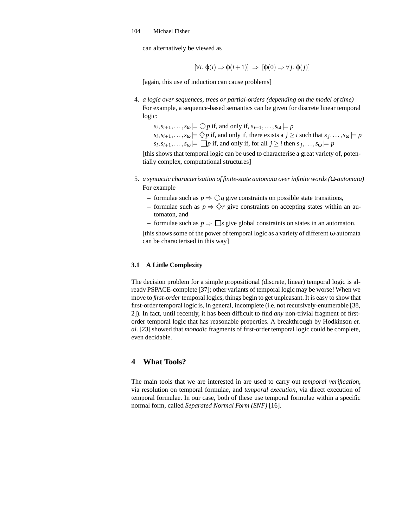can alternatively be viewed as

$$
[\forall i. \; \varphi(i) \Rightarrow \varphi(i+1)] \; \Rightarrow \; [\varphi(0) \Rightarrow \forall j. \; \varphi(j)]
$$

[again, this use of induction can cause problems]

- 4. *a logic over sequences, trees or partial-orders (depending on the model of time)* For example, a sequence-based semantics can be given for discrete linear temporal logic:
	- $s_i, s_{i+1}, \ldots, s_{\omega} \models \bigcirc p$  if, and only if,  $s_{i+1}, \ldots, s_{\omega} \models p$  $s_i, s_{i+1}, \ldots, s_{\omega} \models \bigcirc p$  if, and only if, there exists a  $j \ge i$  such that  $s_j, \ldots, s_{\omega} \models p$  $s_i, s_{i+1}, \ldots, s_{\omega} \models \Box p$  if, and only if, for all  $j \geq i$  then  $s_j, \ldots, s_{\omega} \models p$

[this shows that temporal logic can be used to characterise a great variety of, potentially complex, computational structures]

- 5. *a syntactic characterisation of finite-state automata overinfinite words(*ω*-automata)* For example
	- $−$  formulae such as  $p ⇒ √q$  give constraints on possible state transitions,
	- **−** formulae such as  $p \Rightarrow \Diamond r$  give constraints on accepting states within an automaton, and
	- formulae such as  $p \Rightarrow \Box s$  give global constraints on states in an automaton.

[thisshowssome of the power of temporal logic as a variety of different ω-automata can be characterised in this way]

### **3.1 A Little Complexity**

The decision problem for a simple propositional (discrete, linear) temporal logic is already PSPACE-complete [37]; other variants of temporal logic may be worse! When we move to *first-order* temporal logics, things begin to get unpleasant. It is easy to show that first-order temporal logic is, in general, incomplete (i.e. not recursively-enumerable [38, 2]). In fact, until recently, it has been difficult to find *any* non-trivial fragment of firstorder temporal logic that has reasonable properties. A breakthrough by Hodkinson *et. al.* [23] showed that *monodic* fragments of first-order temporal logic could be complete, even decidable.

## **4 What Tools?**

The main tools that we are interested in are used to carry out *temporal verification*, via resolution on temporal formulae, and *temporal execution*, via direct execution of temporal formulae. In our case, both of these use temporal formulae within a specific normal form, called *Separated Normal Form (SNF)* [16].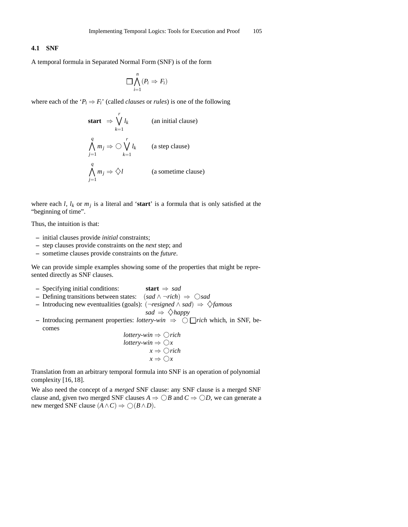### **4.1 SNF**

A temporal formula in Separated Normal Form (SNF) is of the form

$$
\prod_{i=1}^n (P_i \Rightarrow F_i)
$$

where each of the ' $P_i \Rightarrow F_i$ ' (called *clauses* or *rules*) is one of the following

**start** ⇒ 
$$
\bigvee_{k=1}^{r} l_k
$$
 (an initial clause)  
\n $\bigwedge_{j=1}^{q} m_j$  ⇒  $\bigcirc \bigvee_{k=1}^{r} l_k$  (a step clause)  
\n $\bigwedge_{j=1}^{q} m_j$  ⇒  $\diamondsuit l$  (a sometime clause)

where each *l*,  $l_k$  or  $m_j$  is a literal and '**start**' is a formula that is only satisfied at the "beginning of time".

Thus, the intuition is that:

- **–** initial clauses provide *initial* constraints;
- **–** step clauses provide constraints on the *next* step; and
- **–** sometime clauses provide constraints on the *future*.

We can provide simple examples showing some of the properties that might be represented directly as SNF clauses.

- **–** Specifying initial conditions: **start** ⇒ *sad*
- **–** Defining transitions between states: (*sad* ∧ ¬*rich*) ⇒ ❣*sad*
- **–** Introducing new eventualities (goals): (¬*resigned* ∧ *sad*) ⇒ ♦*famous*

$$
sad \Rightarrow \Diamond happy
$$

**–** Introducing permanent properties: *lottery-win* ⇒ ❣ *rich* which, in SNF, becomes

*lottery-win* 
$$
\Rightarrow
$$
  $\bigcirc$  *rich*  
*lottery-win*  $\Rightarrow$   $\bigcirc$  *x*  
 $x \Rightarrow$   $\bigcirc$  *x*

Translation from an arbitrary temporal formula into SNF is an operation of polynomial complexity [16, 18].

We also need the concept of a *merged* SNF clause: any SNF clause is a merged SNF clause and, given two merged SNF clauses  $A \Rightarrow \bigcirc B$  and  $C \Rightarrow \bigcirc D$ , we can generate a new merged SNF clause  $(A \land C) \Rightarrow \bigcirc (B \land D)$ .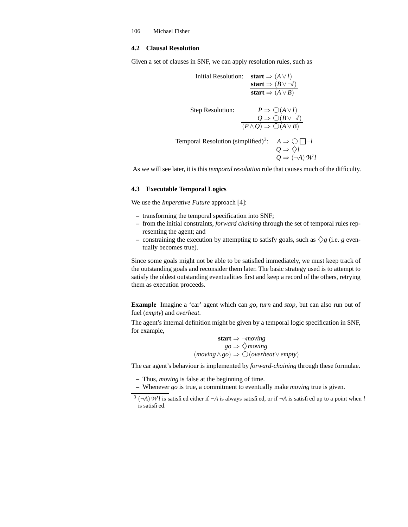### **4.2 Clausal Resolution**

Given a set of clauses in SNF, we can apply resolution rules, such as

Initial Resolution: 
$$
\operatorname{start} \Rightarrow (A \lor l)
$$
  
\n $\operatorname{start} \Rightarrow (B \lor \neg l)$   
\n $\operatorname{start} \Rightarrow (A \lor B)$   
\nStep Resolution:  $P \Rightarrow \bigcirc (A \lor l)$   
\n $Q \Rightarrow \bigcirc (B \lor \neg l)$   
\n $(P \land Q) \Rightarrow \bigcirc (A \lor B)$   
\n $\Rightarrow \bigcirc \bigcup A$   
\n $\frac{Q \Rightarrow \Diamond l}{Q \Rightarrow \Diamond l}$ 

As we will see later, it is this *temporal resolution* rule that causes much of the difficulty.

#### **4.3 Executable Temporal Logics**

We use the *Imperative Future* approach [4]:

- **–** transforming the temporal specification into SNF;
- **–** from the initial constraints, *forward chaining* through the set of temporal rules representing the agent; and
- $-$  constraining the execution by attempting to satisfy goals, such as  $\Diamond g$  (i.e. *g* eventually becomes true).

Since some goals might not be able to be satisfied immediately, we must keep track of the outstanding goals and reconsider them later. The basic strategy used is to attempt to satisfy the oldest outstanding eventualities first and keep a record of the others, retrying them as execution proceeds.

**Example** Imagine a 'car' agent which can *go*, *turn* and *stop*, but can also run out of fuel (*empty*) and *overheat*.

The agent's internal definition might be given by a temporal logic specification in SNF, for example,

$$
start \Rightarrow \neg moving
$$
  
\n
$$
go \Rightarrow \bigcirc moving
$$
  
\n(moving \land go) \Rightarrow O(overheat \lor empty)

The car agent's behaviour is implemented by *forward-chaining* through these formulae.

**–** Thus, *moving* is false at the beginning of time.

**–** Whenever *go* is true, a commitment to eventually make *moving* true is given.

 $3 (-A)$  *Wl* is satisfied either if  $\neg A$  is always satisfied, or if  $\neg A$  is satisfied up to a point when *l* is satisfied.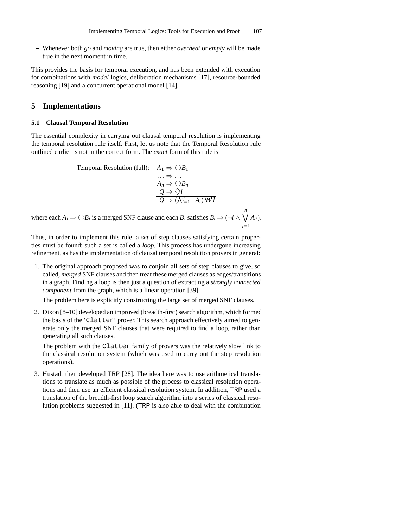**–** Whenever both *go* and *moving* are true, then either *overheat* or *empty* will be made true in the next moment in time.

This provides the basis for temporal execution, and has been extended with execution for combinations with *modal* logics, deliberation mechanisms [17], resource-bounded reasoning [19] and a concurrent operational model [14].

## **5 Implementations**

#### **5.1 Clausal Temporal Resolution**

The essential complexity in carrying out clausal temporal resolution is implementing the temporal resolution rule itself. First, let us note that the Temporal Resolution rule outlined earlier is not in the correct form. The *exact* form of this rule is

Temporal Resolution (full):

\n
$$
A_1 \Rightarrow \bigcirc B_1
$$
\n
$$
\dots \Rightarrow \dots
$$
\n
$$
A_n \Rightarrow \bigcirc B_n
$$
\n
$$
\underline{Q} \Rightarrow \Diamond l
$$
\n
$$
\overline{Q} \Rightarrow (\bigwedge_{i=1}^n \neg A_i) \, \overline{Wl}
$$

where each  $A_i \Rightarrow \bigcirc B_i$  is a merged SNF clause and each  $B_i$  satisfies  $B_i \Rightarrow (\neg l \land \bigvee^n A_i)$ *j*=1 *Aj*).

Thus, in order to implement this rule, a *set* of step clauses satisfying certain properties must be found; such a set is called a *loop*. This process has undergone increasing refinement, as has the implementation of clausal temporal resolution provers in general:

1. The original approach proposed was to conjoin all sets of step clauses to give, so called, *merged* SNF clauses and then treat these merged clauses as edges/transitions in a graph. Finding a loop is then just a question of extracting a *strongly connected component* from the graph, which is a linear operation [39].

The problem here is explicitly constructing the large set of merged SNF clauses.

2. Dixon [8–10] developed an improved (breadth-first) search algorithm, which formed the basis of the 'Clatter' prover. This search approach effectively aimed to generate only the merged SNF clauses that were required to find a loop, rather than generating all such clauses.

The problem with the Clatter family of provers was the relatively slow link to the classical resolution system (which was used to carry out the step resolution operations).

3. Hustadt then developed TRP [28]. The idea here was to use arithmetical translations to translate as much as possible of the process to classical resolution operations and then use an efficient classical resolution system. In addition, TRP used a translation of the breadth-first loop search algorithm into a series of classical resolution problems suggested in [11]. (TRP is also able to deal with the combination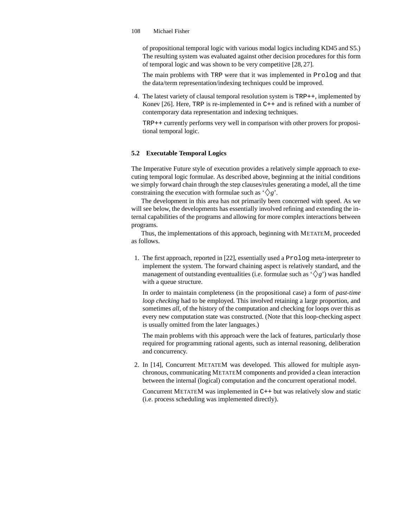of propositional temporal logic with various modal logics including KD45 and S5.) The resulting system was evaluated against other decision procedures for this form of temporal logic and was shown to be very competitive [28, 27].

The main problems with TRP were that it was implemented in Prolog and that the data/term representation/indexing techniques could be improved.

4. The latest variety of clausal temporal resolution system is TRP++, implemented by Konev [26]. Here, TRP is re-implemented in C++ and is refined with a number of contemporary data representation and indexing techniques.

TRP++ currently performs very well in comparison with other provers for propositional temporal logic.

### **5.2 Executable Temporal Logics**

The Imperative Future style of execution provides a relatively simple approach to executing temporal logic formulae. As described above, beginning at the initial conditions we simply forward chain through the step clauses/rules generating a model, all the time constraining the execution with formulae such as  $\langle \rangle g'$ .

The development in this area has not primarily been concerned with speed. As we will see below, the developments has essentially involved refining and extending the internal capabilities of the programs and allowing for more complex interactions between programs.

Thus, the implementations of this approach, beginning with METATEM, proceeded as follows.

1. The first approach, reported in [22], essentially used a Prolog meta-interpreter to implement the system. The forward chaining aspect is relatively standard, and the management of outstanding eventualities (i.e. formulae such as  $\langle \rangle g'$ ) was handled with a queue structure.

In order to maintain completeness (in the propositional case) a form of *past-time loop checking* had to be employed. This involved retaining a large proportion, and sometimes *all*, of the history of the computation and checking for loops over this as every new computation state was constructed. (Note that this loop-checking aspect is usually omitted from the later languages.)

The main problems with this approach were the lack of features, particularly those required for programming rational agents, such as internal reasoning, deliberation and concurrency.

2. In [14], Concurrent METATEM was developed. This allowed for multiple asynchronous, communicating METATEM components and provided a clean interaction between the internal (logical) computation and the concurrent operational model.

Concurrent METATEM was implemented in C++ but was relatively slow and static (i.e. process scheduling was implemented directly).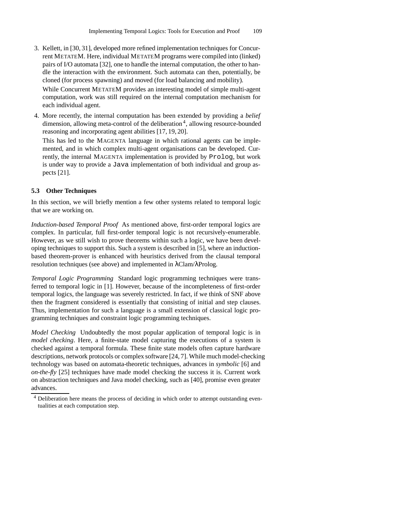- 3. Kellett, in [30, 31], developed more refined implementation techniques for Concurrent METATEM. Here, individual METATEM programs were compiled into (linked) pairs of I/O automata [32], one to handle the internal computation, the other to handle the interaction with the environment. Such automata can then, potentially, be cloned (for process spawning) and moved (for load balancing and mobility). While Concurrent METATEM provides an interesting model of simple multi-agent computation, work was still required on the internal computation mechanism for
- 4. More recently, the internal computation has been extended by providing a *belief* dimension, allowing meta-control of the deliberation<sup>4</sup>, allowing resource-bounded reasoning and incorporating agent abilities [17, 19, 20].

This has led to the MAGENTA language in which rational agents can be implemented, and in which complex multi-agent organisations can be developed. Currently, the internal MAGENTA implementation is provided by Prolog, but work is under way to provide a Java implementation of both individual and group aspects [21].

### **5.3 Other Techniques**

each individual agent.

In this section, we will briefly mention a few other systems related to temporal logic that we are working on.

*Induction-based Temporal Proof* As mentioned above, first-order temporal logics are complex. In particular, full first-order temporal logic is not recursively-enumerable. However, as we still wish to prove theorems within such a logic, we have been developing techniques to support this. Such a system is described in [5], where an inductionbased theorem-prover is enhanced with heuristics derived from the clausal temporal resolution techniques (see above) and implemented in λClam/λProlog.

*Temporal Logic Programming* Standard logic programming techniques were transferred to temporal logic in [1]. However, because of the incompleteness of first-order temporal logics, the language was severely restricted. In fact, if we think of SNF above then the fragment considered is essentially that consisting of initial and step clauses. Thus, implementation for such a language is a small extension of classical logic programming techniques and constraint logic programming techniques.

*Model Checking* Undoubtedly the most popular application of temporal logic is in *model checking*. Here, a finite-state model capturing the executions of a system is checked against a temporal formula. These finite state models often capture hardware descriptions, network protocols or complex software [24, 7]. While much model-checking technology was based on automata-theoretic techniques, advances in *symbolic* [6] and *on-the-fly* [25] techniques have made model checking the success it is. Current work on abstraction techniques and Java model checking, such as [40], promise even greater advances.

<sup>4</sup> Deliberation here means the process of deciding in which order to attempt outstanding eventualities at each computation step.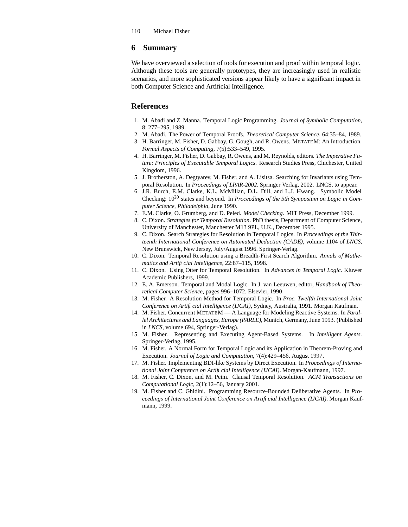## **6 Summary**

We have overviewed a selection of tools for execution and proof within temporal logic. Although these tools are generally prototypes, they are increasingly used in realistic scenarios, and more sophisticated versions appear likely to have a significant impact in both Computer Science and Artificial Intelligence.

## **References**

- 1. M. Abadi and Z. Manna. Temporal Logic Programming. *Journal of Symbolic Computation*, 8: 277–295, 1989.
- 2. M. Abadi. The Power of Temporal Proofs. *Theoretical Computer Science*, 64:35–84, 1989.
- 3. H. Barringer, M. Fisher, D. Gabbay, G. Gough, and R. Owens. METATEM: An Introduction. *Formal Aspects of Computing*, 7(5):533–549, 1995.
- 4. H. Barringer, M. Fisher, D. Gabbay, R. Owens, and M. Reynolds, editors. *The Imperative Future: Principles of Executable Temporal Logics*. Research Studies Press, Chichester, United Kingdom, 1996.
- 5. J. Brotherston, A. Degtyarev, M. Fisher, and A. Lisitsa. Searching for Invariants using Temporal Resolution. In *Proceedings of LPAR-2002*. Springer Verlag, 2002. LNCS, to appear.
- 6. J.R. Burch, E.M. Clarke, K.L. McMillan, D.L. Dill, and L.J. Hwang. Symbolic Model Checking: 10<sup>20</sup> states and beyond. In *Proceedings of the 5th Symposium on Logic in Computer Science, Philadelphia*, June 1990.
- 7. E.M. Clarke, O. Grumberg, and D. Peled. *Model Checking*. MIT Press, December 1999.
- 8. C. Dixon. *Strategies for Temporal Resolution*. PhD thesis, Department of Computer Science, University of Manchester, Manchester M13 9PL, U.K., December 1995.
- 9. C. Dixon. Search Strategies for Resolution in Temporal Logics. In *Proceedings of the Thirteenth International Conference on Automated Deduction (CADE)*, volume 1104 of *LNCS*, New Brunswick, New Jersey, July/August 1996. Springer-Verlag.
- 10. C. Dixon. Temporal Resolution using a Breadth-First Search Algorithm. *Annals of Mathematics and Artificial Intelligence*, 22:87–115, 1998.
- 11. C. Dixon. Using Otter for Temporal Resolution. In *Advances in Temporal Logic*. Kluwer Academic Publishers, 1999.
- 12. E. A. Emerson. Temporal and Modal Logic. In J. van Leeuwen, editor, *Handbook of Theoretical Computer Science*, pages 996–1072. Elsevier, 1990.
- 13. M. Fisher. A Resolution Method for Temporal Logic. In *Proc. Twelfth International Joint Conference on Artificial Intelligence (IJCAI)*, Sydney, Australia, 1991. Morgan Kaufman.
- 14. M. Fisher. Concurrent METATEM A Language for Modeling Reactive Systems. In *Parallel Architectures and Languages, Europe (PARLE)*, Munich, Germany, June 1993. (Published in *LNCS*, volume 694, Springer-Verlag).
- 15. M. Fisher. Representing and Executing Agent-Based Systems. In *Intelligent Agents*. Springer-Verlag, 1995.
- 16. M. Fisher. A Normal Form for Temporal Logic and its Application in Theorem-Proving and Execution. *Journal of Logic and Computation*, 7(4):429–456, August 1997.
- 17. M. Fisher. Implementing BDI-like Systems by Direct Execution. In *Proceedings of International Joint Conference on Artificial Intelligence (IJCAI)*. Morgan-Kaufmann, 1997.
- 18. M. Fisher, C. Dixon, and M. Peim. Clausal Temporal Resolution. *ACM Transactions on Computational Logic*, 2(1):12–56, January 2001.
- 19. M. Fisher and C. Ghidini. Programming Resource-Bounded Deliberative Agents. In *Proceedings of International Joint Conference on Artificial Intelligence (IJCAI)*. Morgan Kaufmann, 1999.